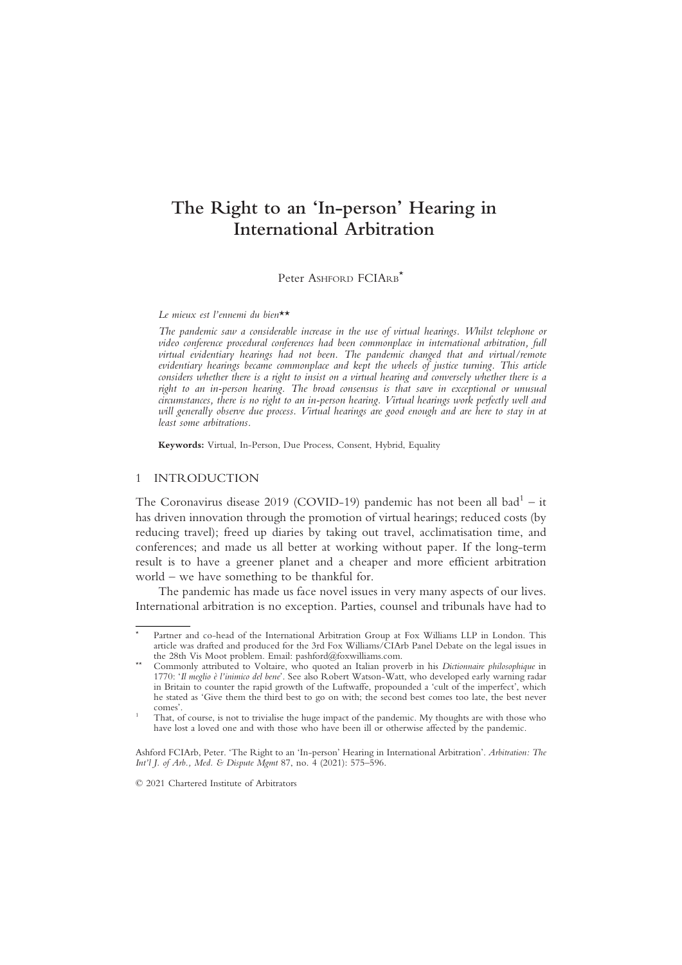# The Right to an 'In-person' Hearing in<br>International Arbitration International Arbitration

Peter ASHEORD FCIARB<sup>\*</sup>

#### Le mieux est l'ennemi du bien $\star\star$

The pandemic saw a considerable increase in the use of virtual hearings. Whilst telephone or video conference procedural conferences had been commonplace in international arbitration, full virtual evidentiary hearings had not been. The pandemic changed that and virtual/remote evidentiary hearings became commonplace and kept the wheels of justice turning. This article considers whether there is a right to insist on a virtual hearing and conversely whether there is a right to an in-person hearing. The broad consensus is that save in exceptional or unusual circumstances, there is no right to an in-person hearing. Virtual hearings work perfectly well and will generally observe due process. Virtual hearings are good enough and are here to stay in at least some arbitrations.

Keywords: Virtual, In-Person, Due Process, Consent, Hybrid, Equality

# 1 INTRODUCTION

The Coronavirus disease 2019 (COVID-19) pandemic has not been all bad<sup>1</sup> – it has driven innovation through the promotion of virtual hearings; reduced costs (by reducing travel); freed up diaries by taking out travel, acclimatisation time, and conferences; and made us all better at working without paper. If the long-term result is to have a greener planet and a cheaper and more efficient arbitration world – we have something to be thankful for.

The pandemic has made us face novel issues in very many aspects of our lives. International arbitration is no exception. Parties, counsel and tribunals have had to

Ashford FCIArb, Peter. 'The Right to an 'In-person' Hearing in International Arbitration'. Arbitration: The Int'l J. of Arb., Med. & Dispute Mgmt 87, no. 4 (2021): 575–596.

© 2021 Chartered Institute of Arbitrators

Partner and co-head of the International Arbitration Group at Fox Williams LLP in London. This article was drafted and produced for the 3rd Fox Williams/CIArb Panel Debate on the legal issues in

the 28th Vis Moot problem. Email: pashford@foxwilliams.com. \*\* Commonly attributed to Voltaire, who quoted an Italian proverb in his Dictionnaire philosophique in 1770: 'Il meglio è l'inimico del bene'. See also Robert Watson-Watt, who developed early warning radar in Britain to counter the rapid growth of the Luftwaffe, propounded a 'cult of the imperfect', which he stated as 'Give them the third best to go on with; the second best comes too late, the best never comes'. <sup>1</sup> That, of course, is not to trivialise the huge impact of the pandemic. My thoughts are with those who

have lost a loved one and with those who have been ill or otherwise affected by the pandemic.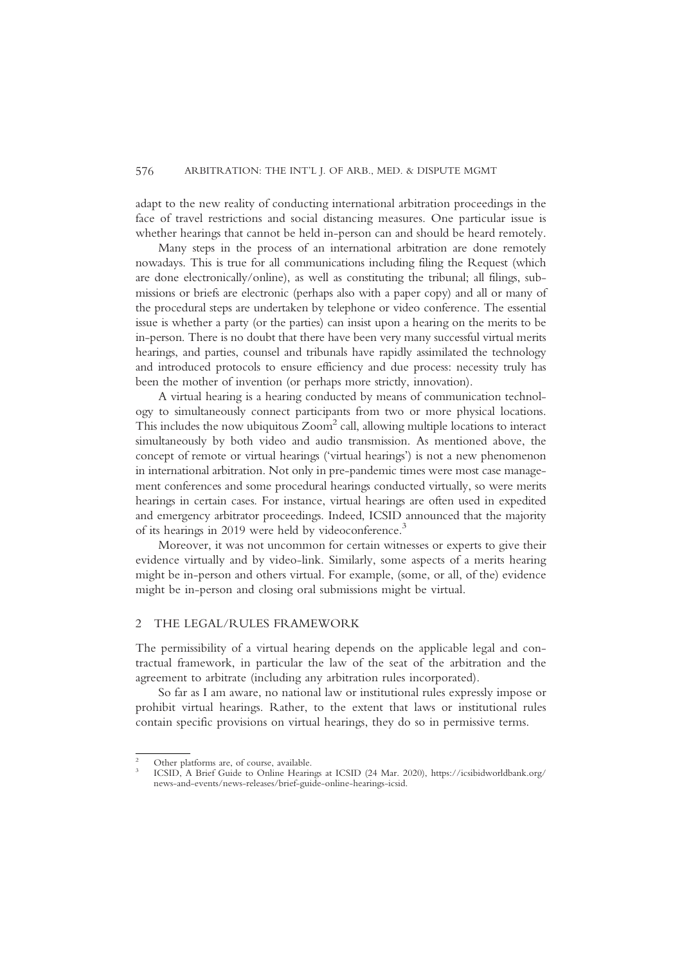adapt to the new reality of conducting international arbitration proceedings in the face of travel restrictions and social distancing measures. One particular issue is whether hearings that cannot be held in-person can and should be heard remotely.

Many steps in the process of an international arbitration are done remotely nowadays. This is true for all communications including filing the Request (which are done electronically/online), as well as constituting the tribunal; all filings, submissions or briefs are electronic (perhaps also with a paper copy) and all or many of the procedural steps are undertaken by telephone or video conference. The essential issue is whether a party (or the parties) can insist upon a hearing on the merits to be in-person. There is no doubt that there have been very many successful virtual merits hearings, and parties, counsel and tribunals have rapidly assimilated the technology and introduced protocols to ensure efficiency and due process: necessity truly has been the mother of invention (or perhaps more strictly, innovation).

A virtual hearing is a hearing conducted by means of communication technology to simultaneously connect participants from two or more physical locations. This includes the now ubiquitous Zoom2 call, allowing multiple locations to interact simultaneously by both video and audio transmission. As mentioned above, the concept of remote or virtual hearings ('virtual hearings') is not a new phenomenon in international arbitration. Not only in pre-pandemic times were most case management conferences and some procedural hearings conducted virtually, so were merits hearings in certain cases. For instance, virtual hearings are often used in expedited and emergency arbitrator proceedings. Indeed, ICSID announced that the majority of its hearings in 2019 were held by videoconference.<sup>3</sup>

Moreover, it was not uncommon for certain witnesses or experts to give their evidence virtually and by video-link. Similarly, some aspects of a merits hearing might be in-person and others virtual. For example, (some, or all, of the) evidence might be in-person and closing oral submissions might be virtual.

#### 2 THE LEGAL/RULES FRAMEWORK

The permissibility of a virtual hearing depends on the applicable legal and contractual framework, in particular the law of the seat of the arbitration and the agreement to arbitrate (including any arbitration rules incorporated).

So far as I am aware, no national law or institutional rules expressly impose or prohibit virtual hearings. Rather, to the extent that laws or institutional rules contain specific provisions on virtual hearings, they do so in permissive terms.

<sup>&</sup>lt;sup>2</sup> Other platforms are, of course, available.<br><sup>3</sup> ICSID, A Brief Guide to Online Hearings at ICSID (24 Mar. 2020), https://icsibidworldbank.org/ news-and-events/news-releases/brief-guide-online-hearings-icsid.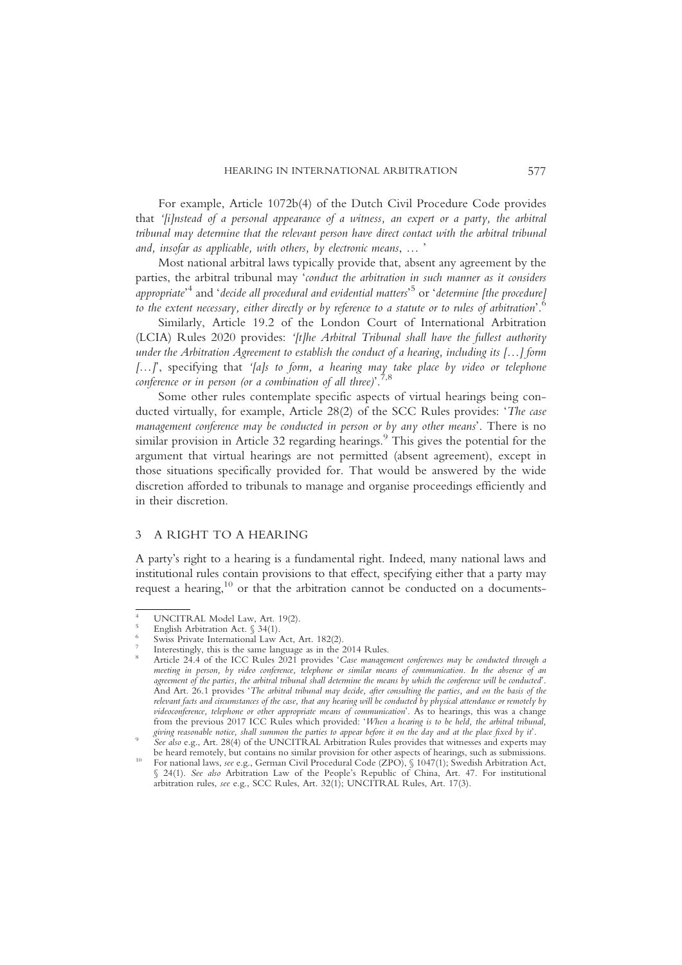For example, Article 1072b(4) of the Dutch Civil Procedure Code provides that 'filnstead of a personal appearance of a witness, an expert or a party, the arbitral tribunal may determine that the relevant person have direct contact with the arbitral tribunal and, insofar as applicable, with others, by electronic means, … '

Most national arbitral laws typically provide that, absent any agreement by the parties, the arbitral tribunal may 'conduct the arbitration in such manner as it considers appropriate<sup>,4</sup> and 'decide all procedural and evidential matters'<sup>5</sup> or 'determine [the procedure] to the extent necessary, either directly or by reference to a statute or to rules of arbitration'.<sup>6</sup>

Similarly, Article 19.2 of the London Court of International Arbitration (LCIA) Rules 2020 provides: '[t]he Arbitral Tribunal shall have the fullest authority under the Arbitration Agreement to establish the conduct of a hearing, including its  $[\ldots]$  form [...]', specifying that '[a]s to form, a hearing may take place by video or telephone conference or in person (or a combination of all three)'.<sup>7,8</sup>

Some other rules contemplate specific aspects of virtual hearings being conducted virtually, for example, Article 28(2) of the SCC Rules provides: 'The case management conference may be conducted in person or by any other means'. There is no similar provision in Article 32 regarding hearings. $9$  This gives the potential for the argument that virtual hearings are not permitted (absent agreement), except in those situations specifically provided for. That would be answered by the wide discretion afforded to tribunals to manage and organise proceedings efficiently and in their discretion.

# 3 A RIGHT TO A HEARING

A party's right to a hearing is a fundamental right. Indeed, many national laws and institutional rules contain provisions to that effect, specifying either that a party may request a hearing,<sup>10</sup> or that the arbitration cannot be conducted on a documents-

<sup>&</sup>lt;sup>4</sup> UNCITRAL Model Law, Art. 19(2).<br><sup>5</sup> English Arbitration Act. § 34(1).<br><sup>6</sup> Swiss Private International Law Act, Art. 182(2).<br><sup>7</sup> Interestingly, this is the same language as in the 2014 Rules.<br><sup>8</sup> Article 24.4 of the ICC meeting in person, by video conference, telephone or similar means of communication. In the absence of an agreement of the parties, the arbitral tribunal shall determine the means by which the conference will be conducted'. And Art. 26.1 provides 'The arbitral tribunal may decide, after consulting the parties, and on the basis of the relevant facts and circumstances of the case, that any hearing will be conducted by physical attendance or remotely by videoconference, telephone or other appropriate means of communication'. As to hearings, this was a change from the previous 2017 ICC Rules which provided: 'When a hearing is to be held, the arbitral tribunal, giving reasonable notice, shall summon the parties to appear before it on the day and at the place fixed by it'.

given reasonable notice, shall summon the parties to appear before it on the provides that witnesses and experts may<br>be heard remotely, but contains no similar provision for other aspects of hearings, such as submissions.

be heard remotely, but contains no similar provision for other aspects of hearings, such as submissions. <sup>10</sup> For national laws, see e.g., German Civil Procedural Code (ZPO), § 1047(1); Swedish Arbitration Act, § 24(1). See also Arbitration Law of the People's Republic of China, Art. 47. For institutional arbitration rules, see e.g., SCC Rules, Art. 32(1); UNCITRAL Rules, Art. 17(3).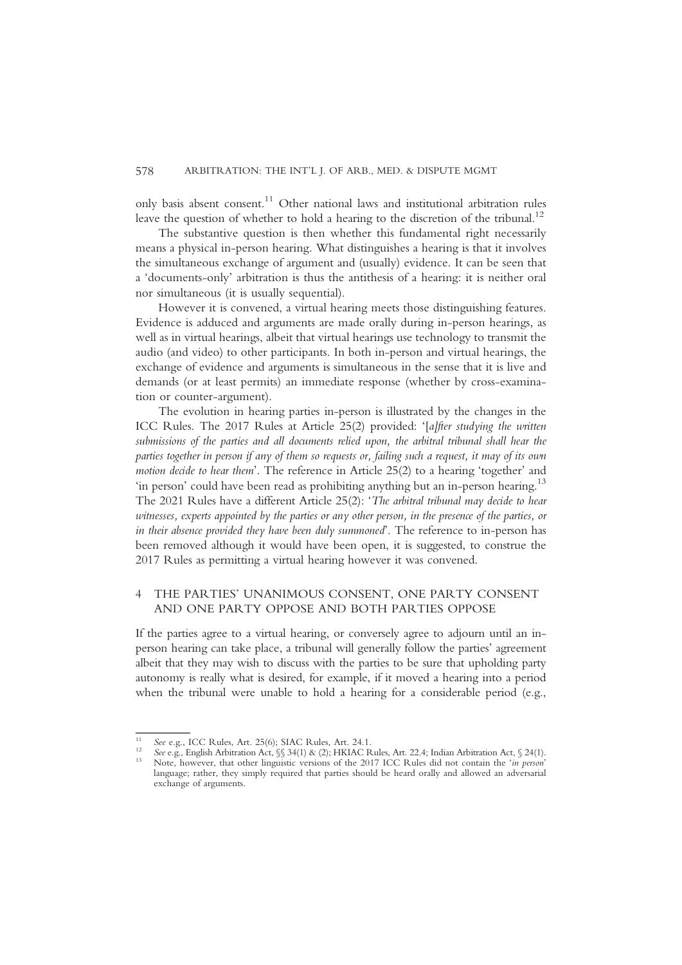only basis absent consent.11 Other national laws and institutional arbitration rules leave the question of whether to hold a hearing to the discretion of the tribunal.<sup>12</sup>

The substantive question is then whether this fundamental right necessarily means a physical in-person hearing. What distinguishes a hearing is that it involves the simultaneous exchange of argument and (usually) evidence. It can be seen that a 'documents-only' arbitration is thus the antithesis of a hearing: it is neither oral nor simultaneous (it is usually sequential).

However it is convened, a virtual hearing meets those distinguishing features. Evidence is adduced and arguments are made orally during in-person hearings, as well as in virtual hearings, albeit that virtual hearings use technology to transmit the audio (and video) to other participants. In both in-person and virtual hearings, the exchange of evidence and arguments is simultaneous in the sense that it is live and demands (or at least permits) an immediate response (whether by cross-examination or counter-argument).

The evolution in hearing parties in-person is illustrated by the changes in the ICC Rules. The 2017 Rules at Article 25(2) provided: '[a]fter studying the written submissions of the parties and all documents relied upon, the arbitral tribunal shall hear the parties together in person if any of them so requests or, failing such a request, it may of its own motion decide to hear them'. The reference in Article 25(2) to a hearing 'together' and 'in person' could have been read as prohibiting anything but an in-person hearing.<sup>13</sup> The 2021 Rules have a different Article 25(2): 'The arbitral tribunal may decide to hear witnesses, experts appointed by the parties or any other person, in the presence of the parties, or in their absence provided they have been duly summoned'. The reference to in-person has been removed although it would have been open, it is suggested, to construe the 2017 Rules as permitting a virtual hearing however it was convened.

# 4 THE PARTIES' UNANIMOUS CONSENT, ONE PARTY CONSENT AND ONE PARTY OPPOSE AND BOTH PARTIES OPPOSE

If the parties agree to a virtual hearing, or conversely agree to adjourn until an inperson hearing can take place, a tribunal will generally follow the parties' agreement albeit that they may wish to discuss with the parties to be sure that upholding party autonomy is really what is desired, for example, if it moved a hearing into a period when the tribunal were unable to hold a hearing for a considerable period (e.g.,

<sup>&</sup>lt;sup>11</sup> See e.g., ICC Rules, Art. 25(6); SIAC Rules, Art. 24.1.<br><sup>12</sup> See e.g., English Arbitration Act,  $\S$  34(1) & (2); HKIAC Rules, Art. 22.4; Indian Arbitration Act,  $\S$  24(1).<br><sup>13</sup> Note, however, that other linguistic ve

language; rather, they simply required that parties should be heard orally and allowed an adversarial exchange of arguments.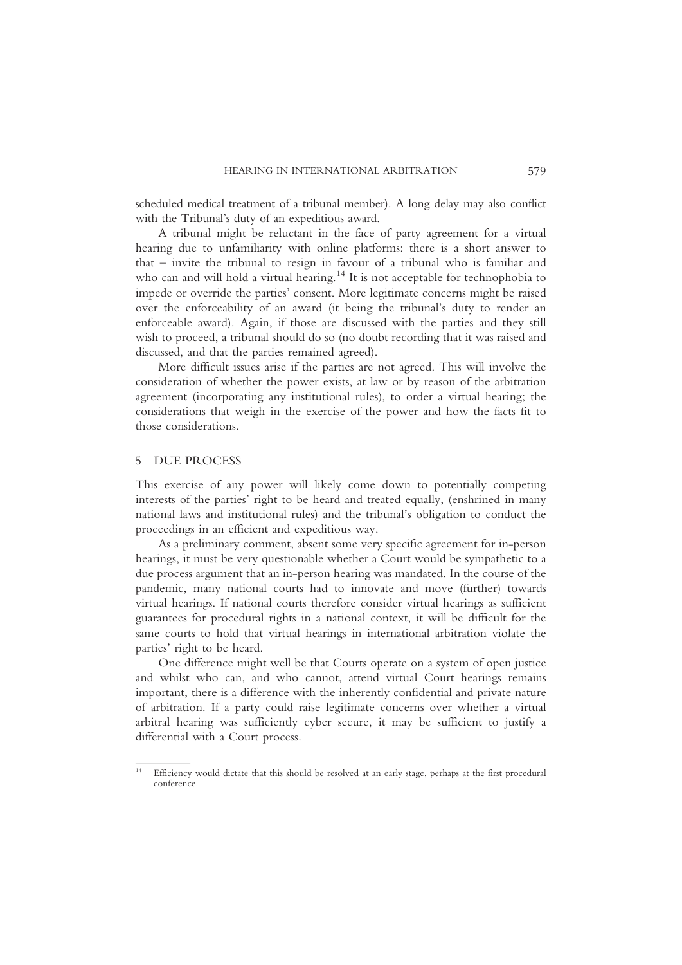scheduled medical treatment of a tribunal member). A long delay may also conflict with the Tribunal's duty of an expeditious award.

A tribunal might be reluctant in the face of party agreement for a virtual hearing due to unfamiliarity with online platforms: there is a short answer to that – invite the tribunal to resign in favour of a tribunal who is familiar and who can and will hold a virtual hearing.<sup>14</sup> It is not acceptable for technophobia to impede or override the parties' consent. More legitimate concerns might be raised over the enforceability of an award (it being the tribunal's duty to render an enforceable award). Again, if those are discussed with the parties and they still wish to proceed, a tribunal should do so (no doubt recording that it was raised and discussed, and that the parties remained agreed).

More difficult issues arise if the parties are not agreed. This will involve the consideration of whether the power exists, at law or by reason of the arbitration agreement (incorporating any institutional rules), to order a virtual hearing; the considerations that weigh in the exercise of the power and how the facts fit to those considerations.

# 5 DUE PROCESS

This exercise of any power will likely come down to potentially competing interests of the parties' right to be heard and treated equally, (enshrined in many national laws and institutional rules) and the tribunal's obligation to conduct the proceedings in an efficient and expeditious way.

As a preliminary comment, absent some very specific agreement for in-person hearings, it must be very questionable whether a Court would be sympathetic to a due process argument that an in-person hearing was mandated. In the course of the pandemic, many national courts had to innovate and move (further) towards virtual hearings. If national courts therefore consider virtual hearings as sufficient guarantees for procedural rights in a national context, it will be difficult for the same courts to hold that virtual hearings in international arbitration violate the parties' right to be heard.

One difference might well be that Courts operate on a system of open justice and whilst who can, and who cannot, attend virtual Court hearings remains important, there is a difference with the inherently confidential and private nature of arbitration. If a party could raise legitimate concerns over whether a virtual arbitral hearing was sufficiently cyber secure, it may be sufficient to justify a differential with a Court process.

<sup>&</sup>lt;sup>14</sup> Efficiency would dictate that this should be resolved at an early stage, perhaps at the first procedural conference.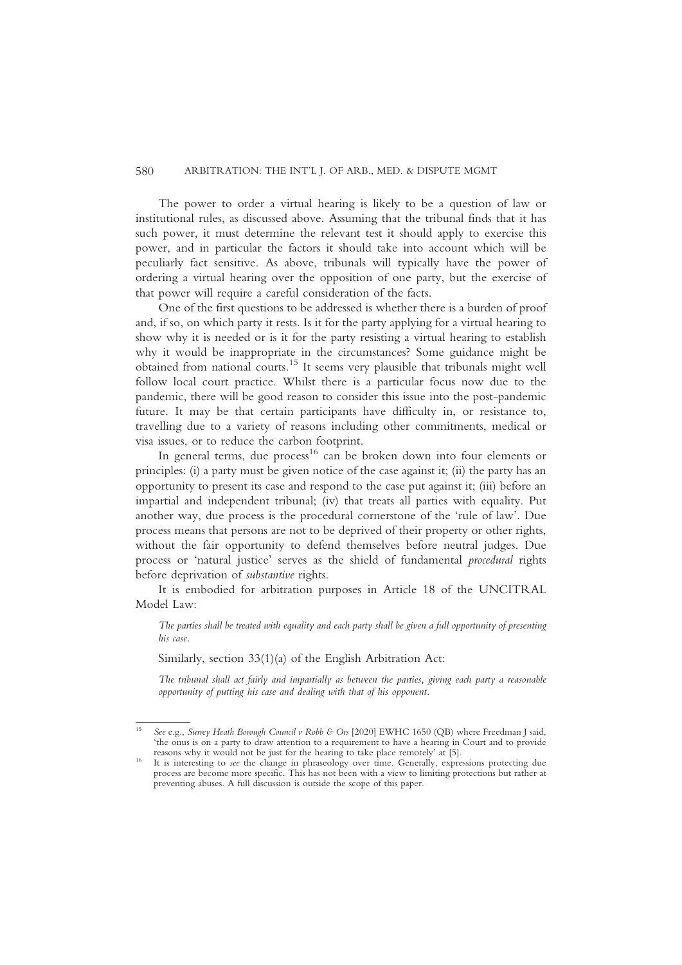The power to order a virtual hearing is likely to be a question of law or institutional rules, as discussed above. Assuming that the tribunal finds that it has such power, it must determine the relevant test it should apply to exercise this power, and in particular the factors it should take into account which will be peculiarly fact sensitive. As above, tribunals will typically have the power of ordering a virtual hearing over the opposition of one party, but the exercise of that power will require a careful consideration of the facts.

One of the first questions to be addressed is whether there is a burden of proof and, if so, on which party it rests. Is it for the party applying for a virtual hearing to show why it is needed or is it for the party resisting a virtual hearing to establish why it would be inappropriate in the circumstances? Some guidance might be obtained from national courts.15 It seems very plausible that tribunals might well follow local court practice. Whilst there is a particular focus now due to the pandemic, there will be good reason to consider this issue into the post-pandemic future. It may be that certain participants have difficulty in, or resistance to, travelling due to a variety of reasons including other commitments, medical or visa issues, or to reduce the carbon footprint.

In general terms, due process<sup>16</sup> can be broken down into four elements or principles: (i) a party must be given notice of the case against it; (ii) the party has an opportunity to present its case and respond to the case put against it; (iii) before an impartial and independent tribunal; (iv) that treats all parties with equality. Put another way, due process is the procedural cornerstone of the 'rule of law'. Due process means that persons are not to be deprived of their property or other rights, without the fair opportunity to defend themselves before neutral judges. Due process or 'natural justice' serves as the shield of fundamental procedural rights before deprivation of substantive rights.

It is embodied for arbitration purposes in Article 18 of the UNCITRAL Model Law:

The parties shall be treated with equality and each party shall be given a full opportunity of presenting his case.

Similarly, section 33(1)(a) of the English Arbitration Act:

The tribunal shall act fairly and impartially as between the parties, giving each party a reasonable opportunity of putting his case and dealing with that of his opponent.

<sup>&</sup>lt;sup>15</sup> See e.g., Surrey Heath Borough Council v Robb & Ors [2020] EWHC 1650 (OB) where Freedman J said, 'the onus is on a party to draw attention to a requirement to have a hearing in Court and to provide

<sup>&</sup>lt;sup>16</sup> It is interesting to see the change in phraseology over time. Generally, expressions protecting due process are become more specific. This has not been with a view to limiting protections but rather at preventing abuses. A full discussion is outside the scope of this paper.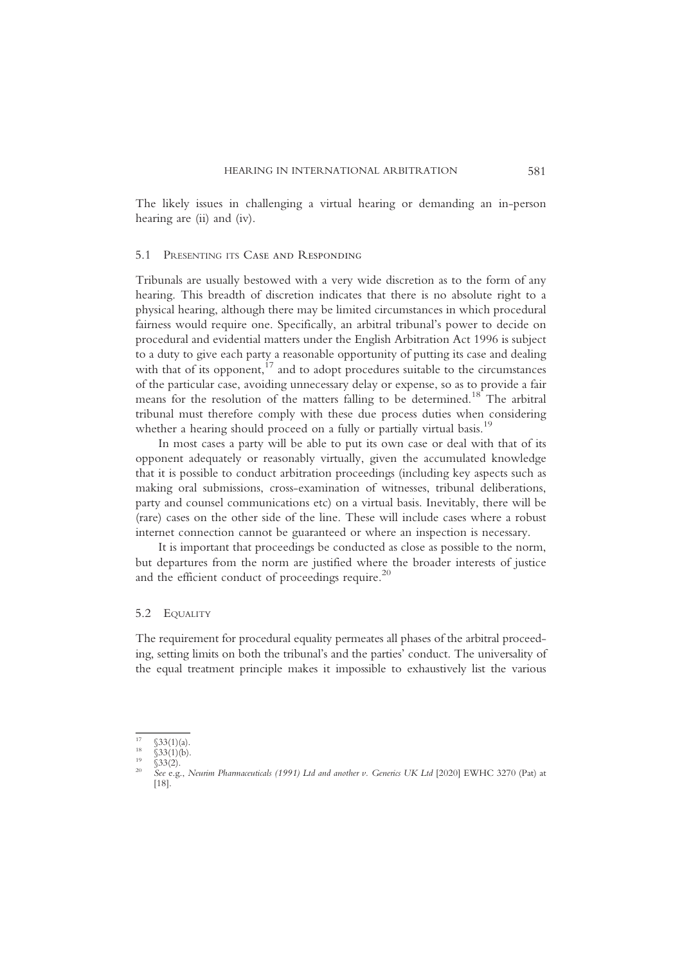The likely issues in challenging a virtual hearing or demanding an in-person hearing are (ii) and (iv).

#### 5.1 PRESENTING ITS Case and Responding

Tribunals are usually bestowed with a very wide discretion as to the form of any hearing. This breadth of discretion indicates that there is no absolute right to a physical hearing, although there may be limited circumstances in which procedural fairness would require one. Specifically, an arbitral tribunal's power to decide on procedural and evidential matters under the English Arbitration Act 1996 is subject to a duty to give each party a reasonable opportunity of putting its case and dealing with that of its opponent, $17$  and to adopt procedures suitable to the circumstances of the particular case, avoiding unnecessary delay or expense, so as to provide a fair means for the resolution of the matters falling to be determined.<sup>18</sup> The arbitral tribunal must therefore comply with these due process duties when considering whether a hearing should proceed on a fully or partially virtual basis.<sup>19</sup>

In most cases a party will be able to put its own case or deal with that of its opponent adequately or reasonably virtually, given the accumulated knowledge that it is possible to conduct arbitration proceedings (including key aspects such as making oral submissions, cross-examination of witnesses, tribunal deliberations, party and counsel communications etc) on a virtual basis. Inevitably, there will be (rare) cases on the other side of the line. These will include cases where a robust internet connection cannot be guaranteed or where an inspection is necessary.

It is important that proceedings be conducted as close as possible to the norm, but departures from the norm are justified where the broader interests of justice and the efficient conduct of proceedings require.<sup>20</sup>

#### 5.2 EQUALITY

The requirement for procedural equality permeates all phases of the arbitral proceeding, setting limits on both the tribunal's and the parties' conduct. The universality of the equal treatment principle makes it impossible to exhaustively list the various

<sup>&</sup>lt;sup>17</sup> §33(1)(a).<br><sup>18</sup> §33(1)(b).<br><sup>29</sup> §33(2).<br><sup>20</sup> *See* e.g., Neurim Pharmaceuticals (1991) Ltd and another v. Generics UK Ltd [2020] EWHC 3270 (Pat) at [18].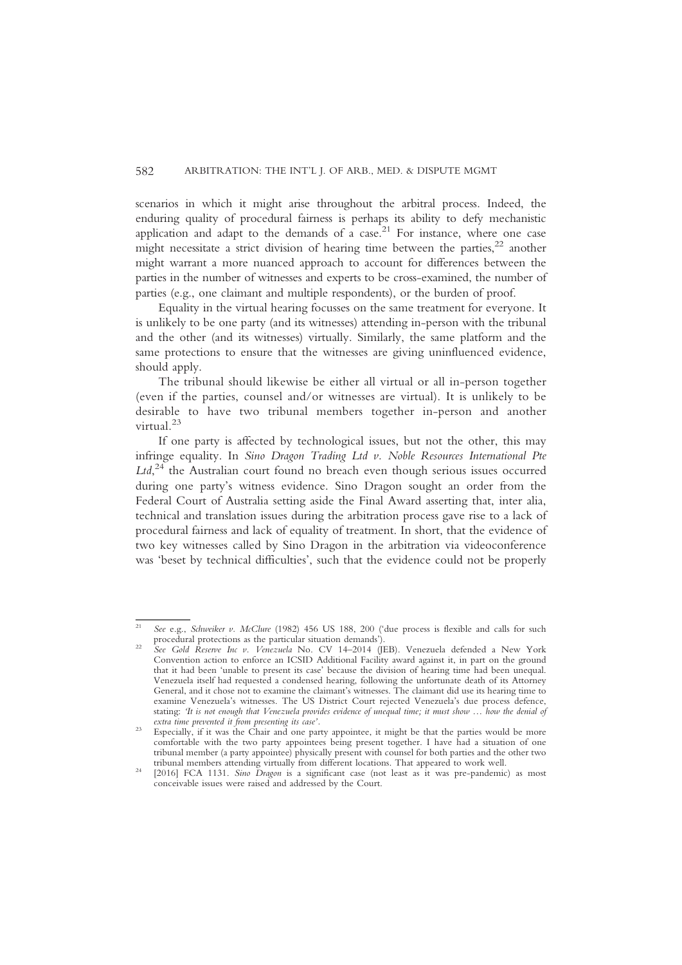scenarios in which it might arise throughout the arbitral process. Indeed, the enduring quality of procedural fairness is perhaps its ability to defy mechanistic application and adapt to the demands of a case.<sup>21</sup> For instance, where one case might necessitate a strict division of hearing time between the parties,  $2^2$  another might warrant a more nuanced approach to account for differences between the parties in the number of witnesses and experts to be cross-examined, the number of parties (e.g., one claimant and multiple respondents), or the burden of proof.

Equality in the virtual hearing focusses on the same treatment for everyone. It is unlikely to be one party (and its witnesses) attending in-person with the tribunal and the other (and its witnesses) virtually. Similarly, the same platform and the same protections to ensure that the witnesses are giving uninfluenced evidence, should apply.

The tribunal should likewise be either all virtual or all in-person together (even if the parties, counsel and/or witnesses are virtual). It is unlikely to be desirable to have two tribunal members together in-person and another virtual $^{23}$ 

If one party is affected by technological issues, but not the other, this may infringe equality. In Sino Dragon Trading Ltd v. Noble Resources International Pte Ltd,<sup>24</sup> the Australian court found no breach even though serious issues occurred during one party's witness evidence. Sino Dragon sought an order from the Federal Court of Australia setting aside the Final Award asserting that, inter alia, technical and translation issues during the arbitration process gave rise to a lack of procedural fairness and lack of equality of treatment. In short, that the evidence of two key witnesses called by Sino Dragon in the arbitration via videoconference was 'beset by technical difficulties', such that the evidence could not be properly

<sup>&</sup>lt;sup>21</sup> See e.g., Schweiker v. McClure (1982) 456 US 188, 200 ('due process is flexible and calls for such procedural protections as the particular situation demands').

See Gold Reserve Inc v. Venezuela No. CV 14–2014 (JEB). Venezuela defended a New York Convention action to enforce an ICSID Additional Facility award against it, in part on the ground that it had been 'unable to present its case' because the division of hearing time had been unequal. Venezuela itself had requested a condensed hearing, following the unfortunate death of its Attorney General, and it chose not to examine the claimant's witnesses. The claimant did use its hearing time to examine Venezuela's witnesses. The US District Court rejected Venezuela's due process defence, stating: 'It is not enough that Venezuela provides evidence of unequal time; it must show ... how the denial of extra time prevented it from presenting its case'.

extra time preventing its case is case. The chair and one party appointee, it might be that the parties would be more comfortable with the two party appointees being present together. I have had a situation of one tribunal member (a party appointee) physically present with counsel for both parties and the other two

<sup>&</sup>lt;sup>24</sup> [2016] FCA 1131. Sino Dragon is a significant case (not least as it was pre-pandemic) as most conceivable issues were raised and addressed by the Court.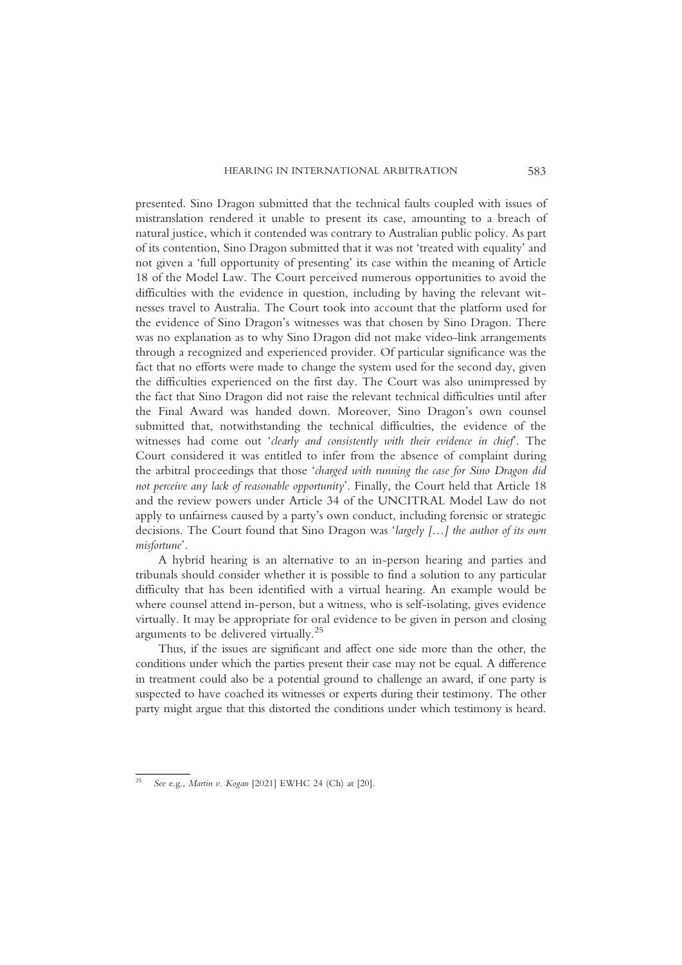presented. Sino Dragon submitted that the technical faults coupled with issues of mistranslation rendered it unable to present its case, amounting to a breach of natural justice, which it contended was contrary to Australian public policy. As part of its contention, Sino Dragon submitted that it was not 'treated with equality' and not given a 'full opportunity of presenting' its case within the meaning of Article 18 of the Model Law. The Court perceived numerous opportunities to avoid the difficulties with the evidence in question, including by having the relevant witnesses travel to Australia. The Court took into account that the platform used for the evidence of Sino Dragon's witnesses was that chosen by Sino Dragon. There was no explanation as to why Sino Dragon did not make video-link arrangements through a recognized and experienced provider. Of particular significance was the fact that no efforts were made to change the system used for the second day, given the difficulties experienced on the first day. The Court was also unimpressed by the fact that Sino Dragon did not raise the relevant technical difficulties until after the Final Award was handed down. Moreover, Sino Dragon's own counsel submitted that, notwithstanding the technical difficulties, the evidence of the witnesses had come out 'clearly and consistently with their evidence in chief'. The Court considered it was entitled to infer from the absence of complaint during the arbitral proceedings that those 'charged with running the case for Sino Dragon did not perceive any lack of reasonable opportunity'. Finally, the Court held that Article 18 and the review powers under Article 34 of the UNCITRAL Model Law do not apply to unfairness caused by a party's own conduct, including forensic or strategic decisions. The Court found that Sino Dragon was 'largely […] the author of its own misfortune'.

A hybrid hearing is an alternative to an in-person hearing and parties and tribunals should consider whether it is possible to find a solution to any particular difficulty that has been identified with a virtual hearing. An example would be where counsel attend in-person, but a witness, who is self-isolating, gives evidence virtually. It may be appropriate for oral evidence to be given in person and closing arguments to be delivered virtually.<sup>25</sup>

Thus, if the issues are significant and affect one side more than the other, the conditions under which the parties present their case may not be equal. A difference in treatment could also be a potential ground to challenge an award, if one party is suspected to have coached its witnesses or experts during their testimony. The other party might argue that this distorted the conditions under which testimony is heard.

<sup>&</sup>lt;sup>25</sup> See e.g., Martin v. Kogan [2021] EWHC 24 (Ch) at [20].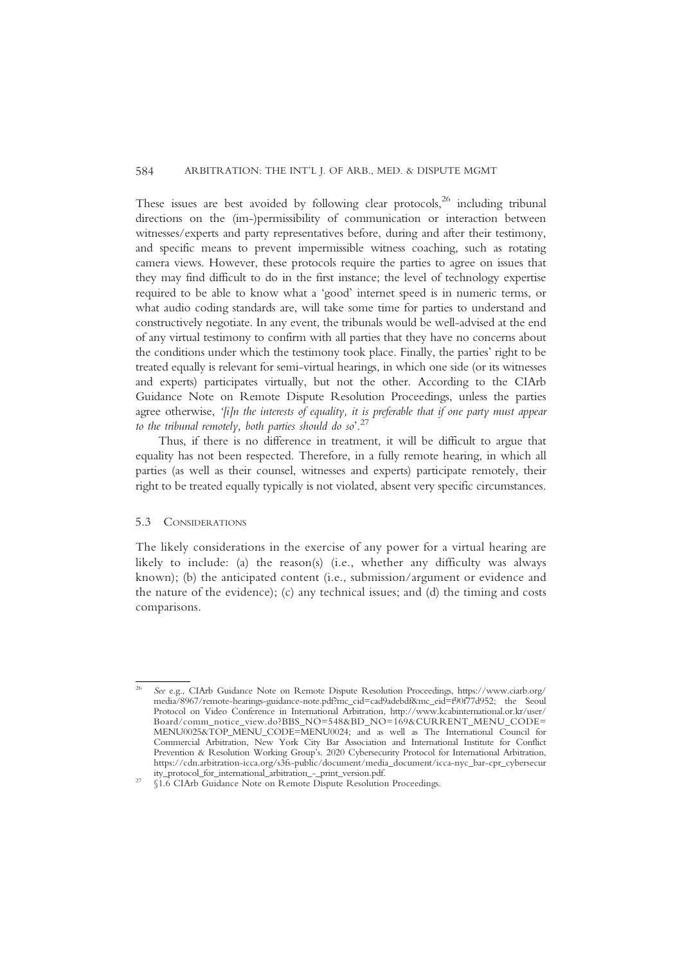These issues are best avoided by following clear protocols, $^{26}$  including tribunal directions on the (im-)permissibility of communication or interaction between witnesses/experts and party representatives before, during and after their testimony, and specific means to prevent impermissible witness coaching, such as rotating camera views. However, these protocols require the parties to agree on issues that they may find difficult to do in the first instance; the level of technology expertise required to be able to know what a 'good' internet speed is in numeric terms, or what audio coding standards are, will take some time for parties to understand and constructively negotiate. In any event, the tribunals would be well-advised at the end of any virtual testimony to confirm with all parties that they have no concerns about the conditions under which the testimony took place. Finally, the parties' right to be treated equally is relevant for semi-virtual hearings, in which one side (or its witnesses and experts) participates virtually, but not the other. According to the CIArb Guidance Note on Remote Dispute Resolution Proceedings, unless the parties agree otherwise, 'filn the interests of equality, it is preferable that if one party must appear to the tribunal remotely, both parties should do so'.<sup>27</sup>

Thus, if there is no difference in treatment, it will be difficult to argue that equality has not been respected. Therefore, in a fully remote hearing, in which all parties (as well as their counsel, witnesses and experts) participate remotely, their right to be treated equally typically is not violated, absent very specific circumstances.

### 5.3 CONSIDERATIONS

The likely considerations in the exercise of any power for a virtual hearing are likely to include: (a) the reason(s) (i.e., whether any difficulty was always known); (b) the anticipated content (i.e., submission/argument or evidence and the nature of the evidence); (c) any technical issues; and (d) the timing and costs comparisons.

<sup>26</sup> See e.g., CIArb Guidance Note on Remote Dispute Resolution Proceedings, https://www.ciarb.org/ media/8967/remote-hearings-guidance-note.pdf?mc\_cid=cad9adebdf&mc\_eid=f90f77d952; the Seoul Protocol on Video Conference in International Arbitration, http://www.kcabinternational.or.kr/user/ Board/comm\_notice\_view.do?BBS\_NO=548&BD\_NO=169&CURRENT\_MENU\_CODE= MENU0025&TOP\_MENU\_CODE=MENU0024; and as well as The International Council for Commercial Arbitration, New York City Bar Association and International Institute for Conflict Prevention & Resolution Working Group's. 2020 Cybersecurity Protocol for International Arbitration, https://cdn.arbitration-icca.org/s3fs-public/document/media\_document/icca-nyc\_bar-cpr\_cybersecur

<sup>&</sup>lt;sup>27</sup> §1.6 CIArb Guidance Note on Remote Dispute Resolution Proceedings.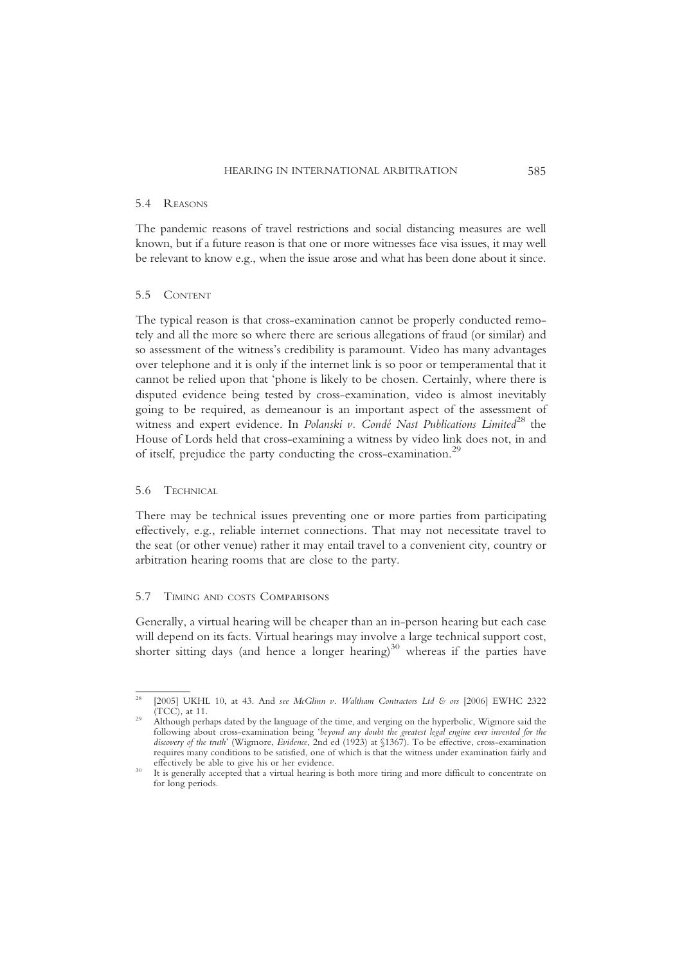## 5.4 REASONS

The pandemic reasons of travel restrictions and social distancing measures are well known, but if a future reason is that one or more witnesses face visa issues, it may well be relevant to know e.g., when the issue arose and what has been done about it since.

# 5.5 CONTENT

The typical reason is that cross-examination cannot be properly conducted remotely and all the more so where there are serious allegations of fraud (or similar) and so assessment of the witness's credibility is paramount. Video has many advantages over telephone and it is only if the internet link is so poor or temperamental that it cannot be relied upon that 'phone is likely to be chosen. Certainly, where there is disputed evidence being tested by cross-examination, video is almost inevitably going to be required, as demeanour is an important aspect of the assessment of witness and expert evidence. In Polanski v. Condé Nast Publications Limited<sup>28</sup> the House of Lords held that cross-examining a witness by video link does not, in and of itself, prejudice the party conducting the cross-examination.<sup>29</sup>

# 5.6 TECHNICAL

There may be technical issues preventing one or more parties from participating effectively, e.g., reliable internet connections. That may not necessitate travel to the seat (or other venue) rather it may entail travel to a convenient city, country or arbitration hearing rooms that are close to the party.

# 5.7 TIMING AND COSTS Comparisons

Generally, a virtual hearing will be cheaper than an in-person hearing but each case will depend on its facts. Virtual hearings may involve a large technical support cost, shorter sitting days (and hence a longer hearing) $30$  whereas if the parties have

<sup>&</sup>lt;sup>28</sup> [2005] UKHL 10, at 43. And *see McGlinn v. Waltham Contractors Ltd & ors* [2006] EWHC 2322 (TCC), at 11.

Although perhaps dated by the language of the time, and verging on the hyperbolic, Wigmore said the following about cross-examination being 'beyond any doubt the greatest legal engine ever invented for the discovery of the truth' (Wigmore, Evidence, 2nd ed (1923) at §1367). To be effective, cross-examination requires many conditions to be satisfied, one of which is that the witness under examination fairly and

<sup>&</sup>lt;sup>30</sup> It is generally accepted that a virtual hearing is both more tiring and more difficult to concentrate on for long periods.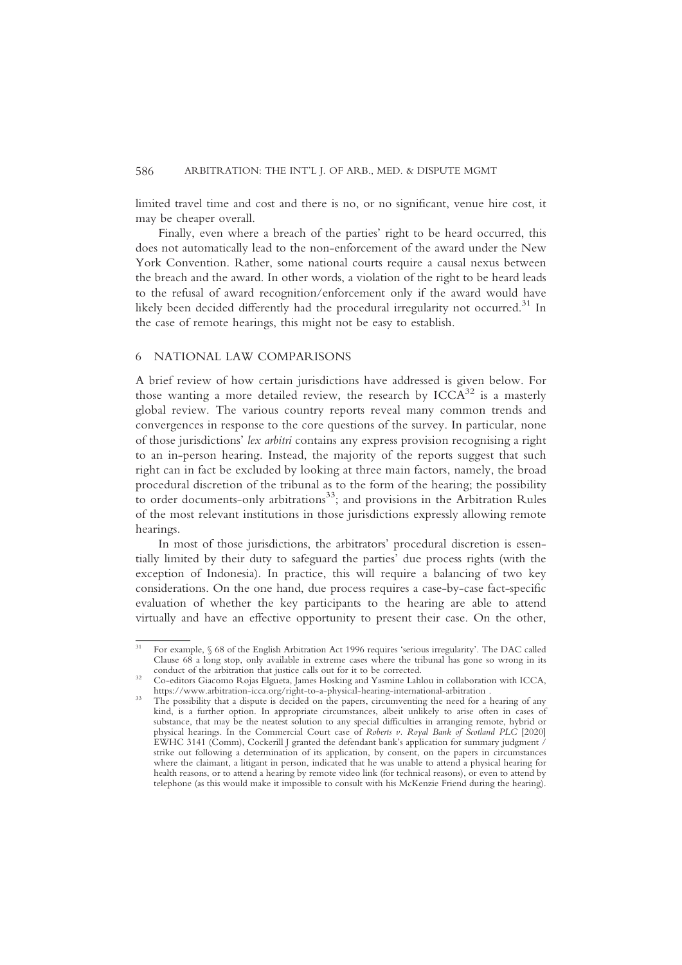limited travel time and cost and there is no, or no significant, venue hire cost, it may be cheaper overall.

Finally, even where a breach of the parties' right to be heard occurred, this does not automatically lead to the non-enforcement of the award under the New York Convention. Rather, some national courts require a causal nexus between the breach and the award. In other words, a violation of the right to be heard leads to the refusal of award recognition/enforcement only if the award would have likely been decided differently had the procedural irregularity not occurred.<sup>31</sup> In the case of remote hearings, this might not be easy to establish.

# 6 NATIONAL LAW COMPARISONS

A brief review of how certain jurisdictions have addressed is given below. For those wanting a more detailed review, the research by  $ICCA<sup>32</sup>$  is a masterly global review. The various country reports reveal many common trends and convergences in response to the core questions of the survey. In particular, none of those jurisdictions' lex arbitri contains any express provision recognising a right to an in-person hearing. Instead, the majority of the reports suggest that such right can in fact be excluded by looking at three main factors, namely, the broad procedural discretion of the tribunal as to the form of the hearing; the possibility to order documents-only arbitrations<sup>33</sup>; and provisions in the Arbitration Rules of the most relevant institutions in those jurisdictions expressly allowing remote hearings.

In most of those jurisdictions, the arbitrators' procedural discretion is essentially limited by their duty to safeguard the parties' due process rights (with the exception of Indonesia). In practice, this will require a balancing of two key considerations. On the one hand, due process requires a case-by-case fact-specific evaluation of whether the key participants to the hearing are able to attend virtually and have an effective opportunity to present their case. On the other,

<sup>31</sup> For example, § 68 of the English Arbitration Act 1996 requires 'serious irregularity'. The DAC called Clause 68 a long stop, only available in extreme cases where the tribunal has gone so wrong in its

<sup>&</sup>lt;sup>32</sup> Co-editors Giacomo Rojas Elgueta, James Hosking and Yasmine Lahlou in collaboration with ICCA, https://www.arbitration-icca.org/right-to-a-physical-hearing-international-arbitration .

https://www.arbitration-icca.org/right-to-a-physical-hearing-international-arbitration .<br><sup>33</sup> The possibility that a dispute is decided on the papers, circumventing the need for a hearing of any kind, is a further option. In appropriate circumstances, albeit unlikely to arise often in cases of substance, that may be the neatest solution to any special difficulties in arranging remote, hybrid or physical hearings. In the Commercial Court case of Roberts v. Royal Bank of Scotland PLC [2020] EWHC 3141 (Comm), Cockerill J granted the defendant bank's application for summary judgment  $\overline{\smash{\big)}\,}$ strike out following a determination of its application, by consent, on the papers in circumstances where the claimant, a litigant in person, indicated that he was unable to attend a physical hearing for health reasons, or to attend a hearing by remote video link (for technical reasons), or even to attend by telephone (as this would make it impossible to consult with his McKenzie Friend during the hearing).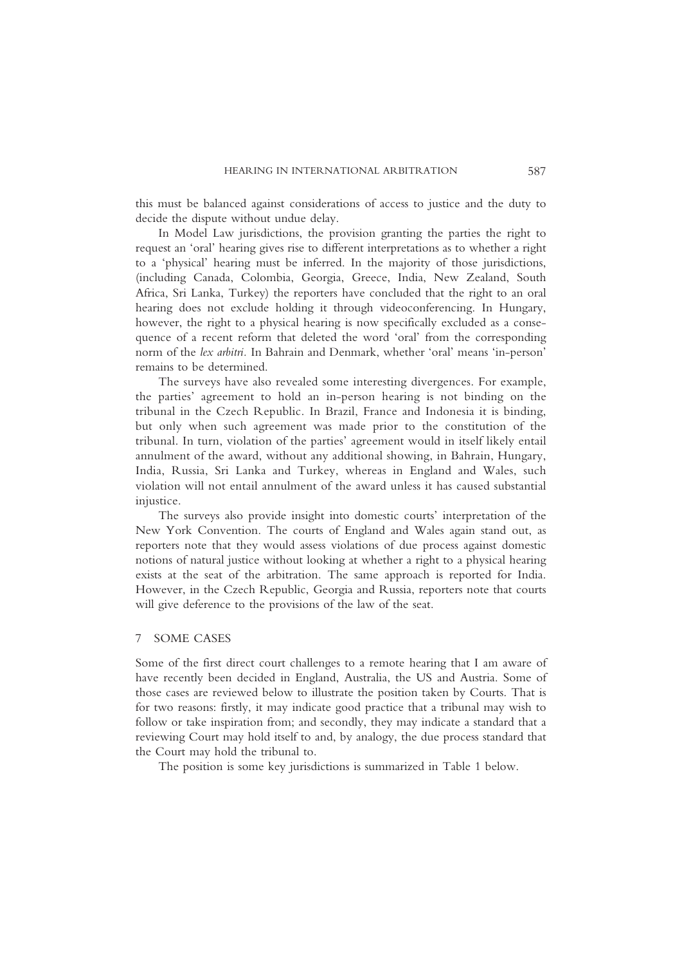this must be balanced against considerations of access to justice and the duty to decide the dispute without undue delay.

In Model Law jurisdictions, the provision granting the parties the right to request an 'oral' hearing gives rise to different interpretations as to whether a right to a 'physical' hearing must be inferred. In the majority of those jurisdictions, (including Canada, Colombia, Georgia, Greece, India, New Zealand, South Africa, Sri Lanka, Turkey) the reporters have concluded that the right to an oral hearing does not exclude holding it through videoconferencing. In Hungary, however, the right to a physical hearing is now specifically excluded as a consequence of a recent reform that deleted the word 'oral' from the corresponding norm of the lex arbitri. In Bahrain and Denmark, whether 'oral' means 'in-person' remains to be determined.

The surveys have also revealed some interesting divergences. For example, the parties' agreement to hold an in-person hearing is not binding on the tribunal in the Czech Republic. In Brazil, France and Indonesia it is binding, but only when such agreement was made prior to the constitution of the tribunal. In turn, violation of the parties' agreement would in itself likely entail annulment of the award, without any additional showing, in Bahrain, Hungary, India, Russia, Sri Lanka and Turkey, whereas in England and Wales, such violation will not entail annulment of the award unless it has caused substantial injustice.

The surveys also provide insight into domestic courts' interpretation of the New York Convention. The courts of England and Wales again stand out, as reporters note that they would assess violations of due process against domestic notions of natural justice without looking at whether a right to a physical hearing exists at the seat of the arbitration. The same approach is reported for India. However, in the Czech Republic, Georgia and Russia, reporters note that courts will give deference to the provisions of the law of the seat.

### 7 SOME CASES

Some of the first direct court challenges to a remote hearing that I am aware of have recently been decided in England, Australia, the US and Austria. Some of those cases are reviewed below to illustrate the position taken by Courts. That is for two reasons: firstly, it may indicate good practice that a tribunal may wish to follow or take inspiration from; and secondly, they may indicate a standard that a reviewing Court may hold itself to and, by analogy, the due process standard that the Court may hold the tribunal to.

The position is some key jurisdictions is summarized in Table 1 below.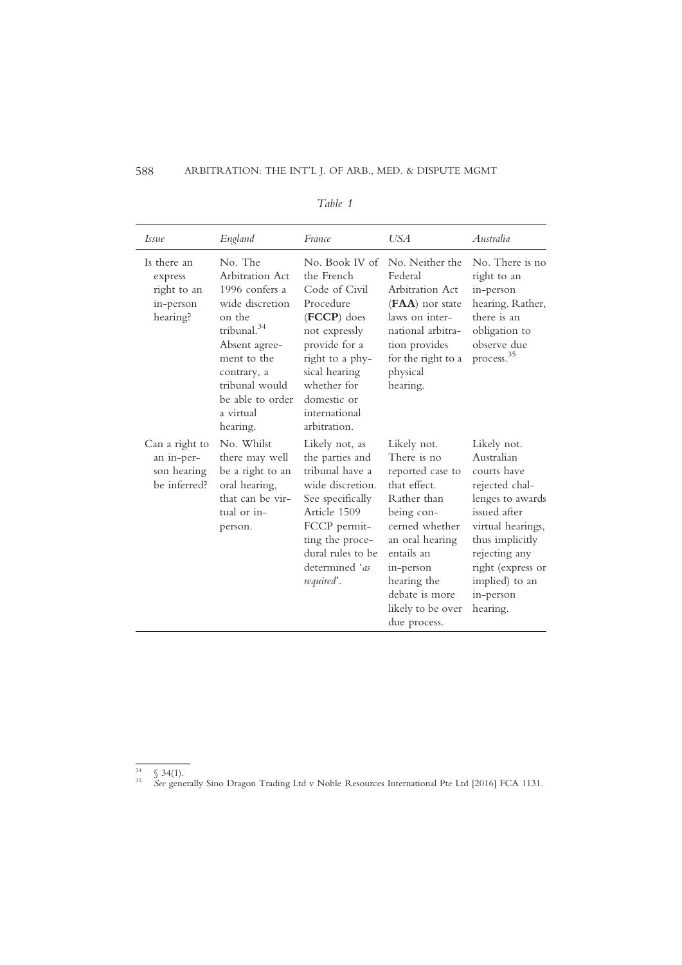| <i>Issue</i>                                                   | England                                                                                                                                                                                                            | France                                                                                                                                                                                                         | <b>USA</b>                                                                                                                                                                                                                        | Australia                                                                                                                                                                                                               |
|----------------------------------------------------------------|--------------------------------------------------------------------------------------------------------------------------------------------------------------------------------------------------------------------|----------------------------------------------------------------------------------------------------------------------------------------------------------------------------------------------------------------|-----------------------------------------------------------------------------------------------------------------------------------------------------------------------------------------------------------------------------------|-------------------------------------------------------------------------------------------------------------------------------------------------------------------------------------------------------------------------|
| Is there an<br>express<br>right to an<br>in-person<br>hearing? | No. The<br>Arbitration Act<br>1996 confers a<br>wide discretion<br>on the<br>tribunal. <sup>34</sup><br>Absent agree-<br>ment to the<br>contrary, a<br>tribunal would<br>be able to order<br>a virtual<br>hearing. | No. Book IV of<br>the French<br>Code of Civil<br>Procedure<br>(FCCP) does<br>not expressly<br>provide for a<br>right to a phy-<br>sical hearing<br>whether for<br>domestic or<br>international<br>arbitration. | No. Neither the<br>Federal<br>Arbitration Act<br>$(FAA)$ nor state<br>laws on inter-<br>national arbitra-<br>tion provides<br>for the right to a<br>physical<br>hearing.                                                          | No. There is no<br>right to an<br>in-person<br>hearing. Rather,<br>there is an<br>obligation to<br>observe due<br>process. <sup>35</sup>                                                                                |
| Can a right to<br>an in-per-<br>son hearing<br>be inferred?    | No. Whilst<br>there may well<br>be a right to an<br>oral hearing,<br>that can be vir-<br>tual or in-<br>person.                                                                                                    | Likely not, as<br>the parties and<br>tribunal have a<br>wide discretion.<br>See specifically<br>Article 1509<br>FCCP permit-<br>ting the proce-<br>dural rules to be<br>determined 'as<br>required'.           | Likely not.<br>There is no<br>reported case to<br>that effect.<br>Rather than<br>being con-<br>cerned whether<br>an oral hearing<br>entails an<br>in-person<br>hearing the<br>debate is more<br>likely to be over<br>due process. | Likely not.<br>Australian<br>courts have<br>rejected chal-<br>lenges to awards<br>issued after<br>virtual hearings,<br>thus implicitly<br>rejecting any<br>right (express or<br>implied) to an<br>in-person<br>hearing. |

Table 1

 $\frac{34}{35}$  § 34(1).<br><sup>35</sup> See generally Sino Dragon Trading Ltd v Noble Resources International Pte Ltd [2016] FCA 1131.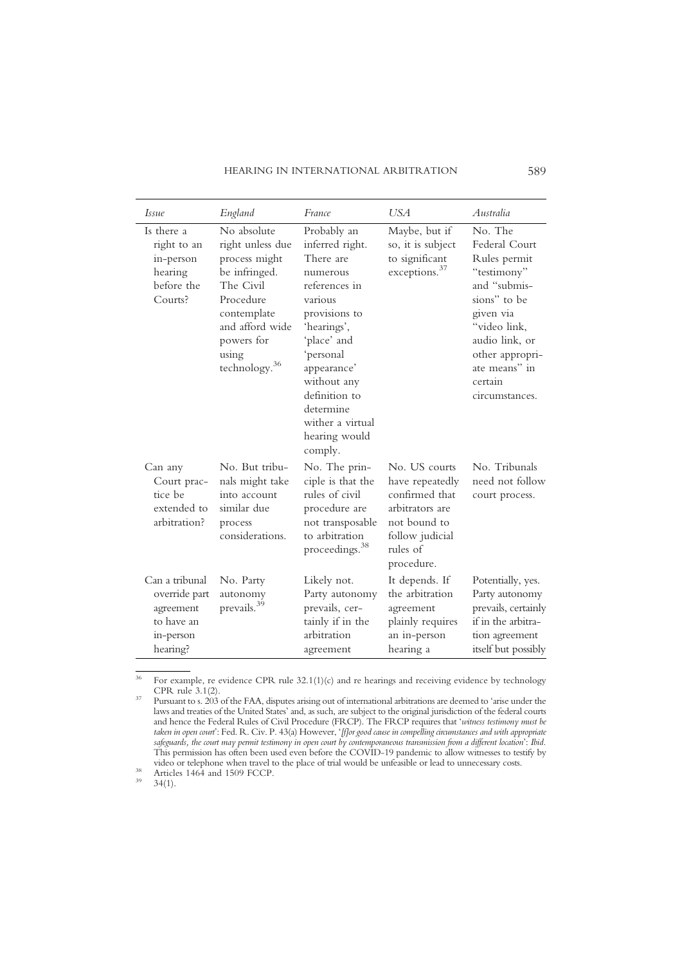| <i>Issue</i>                                                                        | England                                                                                                                                                                           | France                                                                                                                                                                                                                                                      | <b>USA</b>                                                                                                                         | Australia                                                                                                                                                                                               |
|-------------------------------------------------------------------------------------|-----------------------------------------------------------------------------------------------------------------------------------------------------------------------------------|-------------------------------------------------------------------------------------------------------------------------------------------------------------------------------------------------------------------------------------------------------------|------------------------------------------------------------------------------------------------------------------------------------|---------------------------------------------------------------------------------------------------------------------------------------------------------------------------------------------------------|
| Is there a<br>right to an<br>in-person<br>hearing<br>before the<br>Courts?          | No absolute<br>right unless due<br>process might<br>be infringed.<br>The Civil<br>Procedure<br>contemplate<br>and afford wide<br>powers for<br>using<br>technology. <sup>36</sup> | Probably an<br>inferred right.<br>There are<br>numerous<br>references in<br>various<br>provisions to<br>'hearings',<br>'place' and<br>'personal<br>appearance'<br>without any<br>definition to<br>determine<br>wither a virtual<br>hearing would<br>comply. | Maybe, but if<br>so, it is subject<br>to significant<br>exceptions. <sup>37</sup>                                                  | No. The<br>Federal Court<br>Rules permit<br>"testimony"<br>and "submis-<br>sions" to be<br>given via<br>"video link,<br>audio link, or<br>other appropri-<br>ate means" in<br>certain<br>circumstances. |
| Can any<br>Court prac-<br>tice be<br>extended to<br>arbitration?                    | No. But tribu-<br>nals might take<br>into account<br>similar due<br>process<br>considerations.                                                                                    | No. The prin-<br>ciple is that the<br>rules of civil<br>procedure are<br>not transposable<br>to arbitration<br>proceedings. <sup>38</sup>                                                                                                                   | No. US courts<br>have repeatedly<br>confirmed that<br>arbitrators are<br>not bound to<br>follow judicial<br>rules of<br>procedure. | No. Tribunals<br>need not follow<br>court process.                                                                                                                                                      |
| Can a tribunal<br>override part<br>agreement<br>to have an<br>in-person<br>hearing? | No. Party<br>autonomy<br>prevails. <sup>39</sup>                                                                                                                                  | Likely not.<br>Party autonomy<br>prevails, cer-<br>tainly if in the<br>arbitration<br>agreement                                                                                                                                                             | It depends. If<br>the arbitration<br>agreement<br>plainly requires<br>an in-person<br>hearing a                                    | Potentially, yes.<br>Party autonomy<br>prevails, certainly<br>if in the arbitra-<br>tion agreement<br>itself but possibly                                                                               |

<sup>36</sup> For example, re evidence CPR rule  $32.1(1)(c)$  and re hearings and receiving evidence by technology CPR rule  $3.1(2)$ .

<sup>37</sup> Pursuant to s. 203 of the FAA, disputes arising out of international arbitrations are deemed to 'arise under the laws and treaties of the United States' and, as such, are subject to the original jurisdiction of the federal courts and hence the Federal Rules of Civil Procedure (FRCP). The FRCP requires that 'witness testimony must be taken in open court': Fed. R. Civ. P. 43(a) However, '[f]or good cause in compelling circumstances and with appropriate safeguards, the court may permit testimony in open court by contemporaneous transmission from a different location': Ibid. This permission has often been used even before the COVID-19 pandemic to allow witnesses to testify by video or telephone when travel to the place of trial would be unfeasible or lead to unnecessary costs.<br>
<sup>39</sup> Articles 1464 and 1509 FCCP.<br>
<sup>39</sup> 34(1).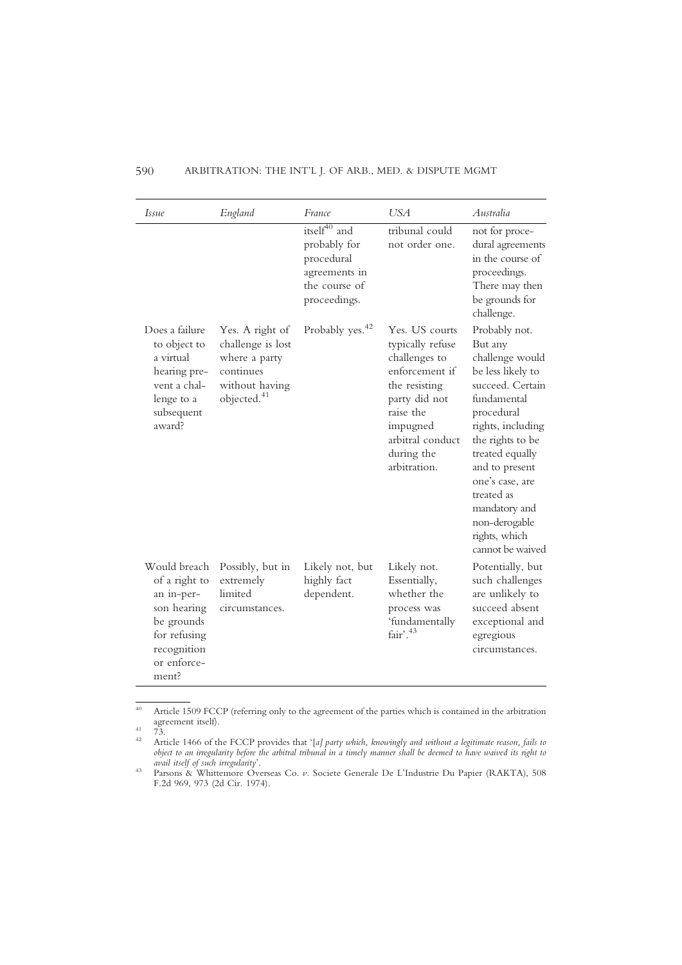| Issue                                                                                                                           | England                                                                                                         | France                                                                                                   | <b>USA</b>                                                                                                                                                                         | Australia                                                                                                                                                                                                                                                                                               |
|---------------------------------------------------------------------------------------------------------------------------------|-----------------------------------------------------------------------------------------------------------------|----------------------------------------------------------------------------------------------------------|------------------------------------------------------------------------------------------------------------------------------------------------------------------------------------|---------------------------------------------------------------------------------------------------------------------------------------------------------------------------------------------------------------------------------------------------------------------------------------------------------|
|                                                                                                                                 |                                                                                                                 | itself <sup>40</sup> and<br>probably for<br>procedural<br>agreements in<br>the course of<br>proceedings. | tribunal could<br>not order one.                                                                                                                                                   | not for proce-<br>dural agreements<br>in the course of<br>proceedings.<br>There may then<br>be grounds for<br>challenge.                                                                                                                                                                                |
| Does a failure<br>to object to<br>a virtual<br>hearing pre-<br>vent a chal-<br>lenge to a<br>subsequent<br>award?               | Yes. A right of<br>challenge is lost<br>where a party<br>continues<br>without having<br>objected. <sup>41</sup> | Probably yes. <sup>42</sup>                                                                              | Yes. US courts<br>typically refuse<br>challenges to<br>enforcement if<br>the resisting<br>party did not<br>raise the<br>impugned<br>arbitral conduct<br>during the<br>arbitration. | Probably not.<br>But any<br>challenge would<br>be less likely to<br>succeed. Certain<br>fundamental<br>procedural<br>rights, including<br>the rights to be<br>treated equally<br>and to present<br>one's case, are<br>treated as<br>mandatory and<br>non-derogable<br>rights, which<br>cannot be waived |
| Would breach<br>of a right to<br>an in-per-<br>son hearing<br>be grounds<br>for refusing<br>recognition<br>or enforce-<br>ment? | Possibly, but in<br>extremely<br>limited<br>circumstances.                                                      | Likely not, but<br>highly fact<br>dependent.                                                             | Likely not.<br>Essentially,<br>whether the<br>process was<br>'fundamentally<br>fair <sup>43</sup>                                                                                  | Potentially, but<br>such challenges<br>are unlikely to<br>succeed absent<br>exceptional and<br>egregious<br>circumstances.                                                                                                                                                                              |

<sup>&</sup>lt;sup>40</sup> Article 1509 FCCP (referring only to the agreement of the parties which is contained in the arbitration agreement itself).

<sup>41</sup>  $\frac{23}{73}$ .<br><sup>42</sup> Article 1466 of the FCCP provides that '[*a] party which, knowingly and without a legitimate reason, fails to* object to an irregularity before the arbitral tribunal in a timely manner shall be deemed to have waived its right to

<sup>&</sup>lt;sup>43</sup> Parsons & Whittemore Overseas Co. v. Societe Generale De L'Industrie Du Papier (RAKTA), 508 F.2d 969, 973 (2d Cir. 1974).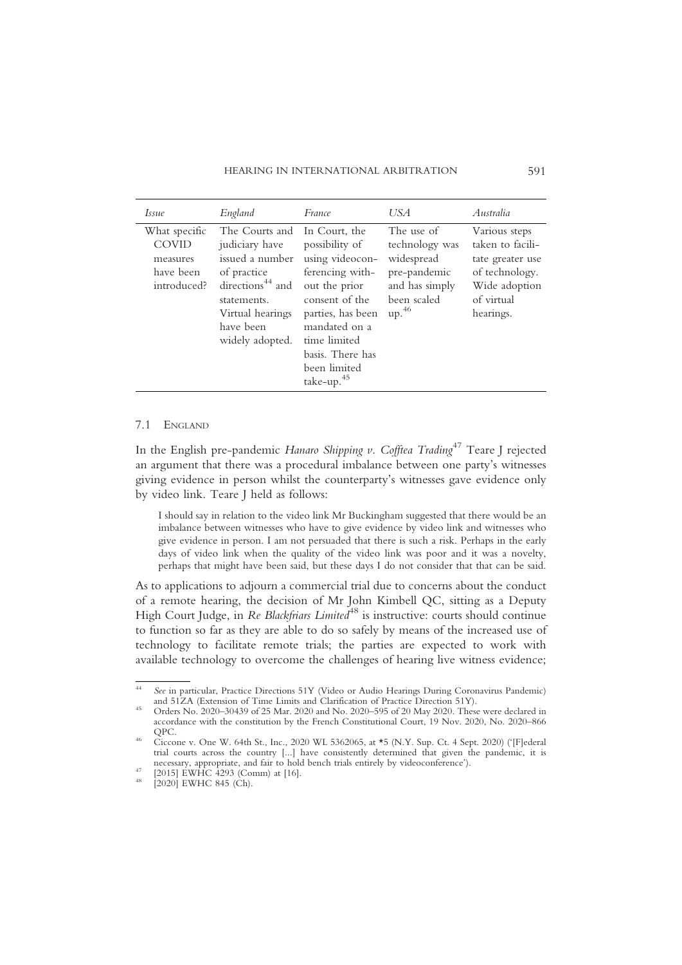| <i>Issue</i>                                                          | England                                                                                                                                                               | France                                                                                                                                                                                                                       | USA                                                                                                              | Australia                                                                                                           |
|-----------------------------------------------------------------------|-----------------------------------------------------------------------------------------------------------------------------------------------------------------------|------------------------------------------------------------------------------------------------------------------------------------------------------------------------------------------------------------------------------|------------------------------------------------------------------------------------------------------------------|---------------------------------------------------------------------------------------------------------------------|
| What specific<br><b>COVID</b><br>measures<br>have been<br>introduced? | The Courts and<br>judiciary have<br>issued a number<br>of practice<br>directions <sup>44</sup> and<br>statements.<br>Virtual hearings<br>have been<br>widely adopted. | In Court, the<br>possibility of<br>using videocon-<br>ferencing with-<br>out the prior<br>consent of the<br>parties, has been<br>mandated on a<br>time limited<br>basis. There has<br>been limited<br>$\text{take-up.}^{45}$ | The use of<br>technology was<br>widespread<br>pre-pandemic<br>and has simply<br>been scaled<br>up. <sup>46</sup> | Various steps<br>taken to facili-<br>tate greater use<br>of technology.<br>Wide adoption<br>of virtual<br>hearings. |

## 7.1 ENGLAND

In the English pre-pandemic Hanaro Shipping v. Cofftea Trading<sup>47</sup> Teare J rejected an argument that there was a procedural imbalance between one party's witnesses giving evidence in person whilst the counterparty's witnesses gave evidence only by video link. Teare J held as follows:

I should say in relation to the video link Mr Buckingham suggested that there would be an imbalance between witnesses who have to give evidence by video link and witnesses who give evidence in person. I am not persuaded that there is such a risk. Perhaps in the early days of video link when the quality of the video link was poor and it was a novelty, perhaps that might have been said, but these days I do not consider that that can be said.

As to applications to adjourn a commercial trial due to concerns about the conduct of a remote hearing, the decision of Mr John Kimbell QC, sitting as a Deputy High Court Judge, in Re Blackfriars Limited<sup>48</sup> is instructive: courts should continue to function so far as they are able to do so safely by means of the increased use of technology to facilitate remote trials; the parties are expected to work with available technology to overcome the challenges of hearing live witness evidence;

<sup>&</sup>lt;sup>44</sup> See in particular, Practice Directions 51Y (Video or Audio Hearings During Coronavirus Pandemic) and 51ZA (Extension of Time Limits and Clarification of Practice Direction 51Y).

and 51ZA (Extension of Time Limits and Clarification of Practice Direction 51Y). <sup>45</sup> Orders No. 2020–30439 of 25 Mar. 2020 and No. 2020–595 of 20 May 2020. These were declared in accordance with the constitution by the French Constitutional Court, 19 Nov. 2020, No. 2020–866 QPC.<br>
<sup>46</sup> Ciccone v. One W. 64th St., Inc., 2020 WL 5362065, at \*5 (N.Y. Sup. Ct. 4 Sept. 2020) ('[F]ederal

trial courts across the country [...] have consistently determined that given the pandemic, it is necessary, appropriate, and fair to hold bench trials entirely by videoconference').<br>
47 [2015] EWHC 4293 (Comm) at [16].<br>
48 [2020] EWHC 845 (Ch).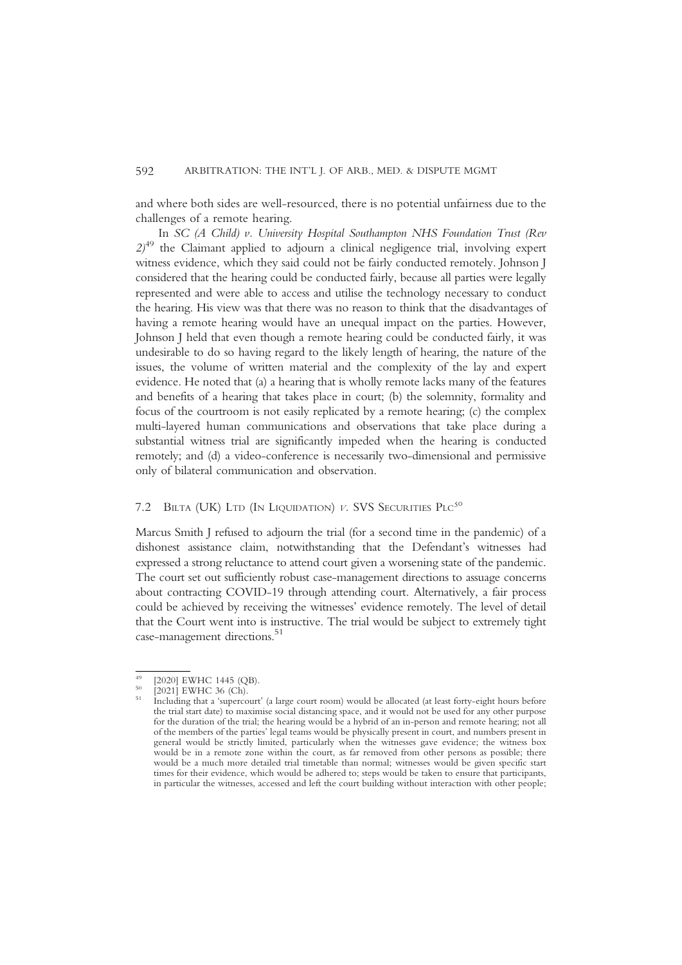and where both sides are well-resourced, there is no potential unfairness due to the challenges of a remote hearing.

In SC (A Child) v. University Hospital Southampton NHS Foundation Trust (Rev  $2)^{49}$  the Claimant applied to adjourn a clinical negligence trial, involving expert witness evidence, which they said could not be fairly conducted remotely. Johnson J considered that the hearing could be conducted fairly, because all parties were legally represented and were able to access and utilise the technology necessary to conduct the hearing. His view was that there was no reason to think that the disadvantages of having a remote hearing would have an unequal impact on the parties. However, Johnson J held that even though a remote hearing could be conducted fairly, it was undesirable to do so having regard to the likely length of hearing, the nature of the issues, the volume of written material and the complexity of the lay and expert evidence. He noted that (a) a hearing that is wholly remote lacks many of the features and benefits of a hearing that takes place in court; (b) the solemnity, formality and focus of the courtroom is not easily replicated by a remote hearing; (c) the complex multi-layered human communications and observations that take place during a substantial witness trial are significantly impeded when the hearing is conducted remotely; and (d) a video-conference is necessarily two-dimensional and permissive only of bilateral communication and observation.

# 7.2 BILTA (UK) LTD (IN LIQUIDATION) V. SVS SECURITIES PLC<sup>50</sup>

Marcus Smith J refused to adjourn the trial (for a second time in the pandemic) of a dishonest assistance claim, notwithstanding that the Defendant's witnesses had expressed a strong reluctance to attend court given a worsening state of the pandemic. The court set out sufficiently robust case-management directions to assuage concerns about contracting COVID-19 through attending court. Alternatively, a fair process could be achieved by receiving the witnesses' evidence remotely. The level of detail that the Court went into is instructive. The trial would be subject to extremely tight case-management directions.<sup>51</sup>

<sup>&</sup>lt;sup>49</sup> [2020] EWHC 1445 (QB).<br><sup>50</sup> [2021] EWHC 36 (Ch).<br><sup>51</sup> Including that a 'supercourt' (a large court room) would be allocated (at least forty-eight hours before the trial start date) to maximise social distancing space, and it would not be used for any other purpose for the duration of the trial; the hearing would be a hybrid of an in-person and remote hearing; not all of the members of the parties' legal teams would be physically present in court, and numbers present in general would be strictly limited, particularly when the witnesses gave evidence; the witness box would be in a remote zone within the court, as far removed from other persons as possible; there would be a much more detailed trial timetable than normal; witnesses would be given specific start times for their evidence, which would be adhered to; steps would be taken to ensure that participants, in particular the witnesses, accessed and left the court building without interaction with other people;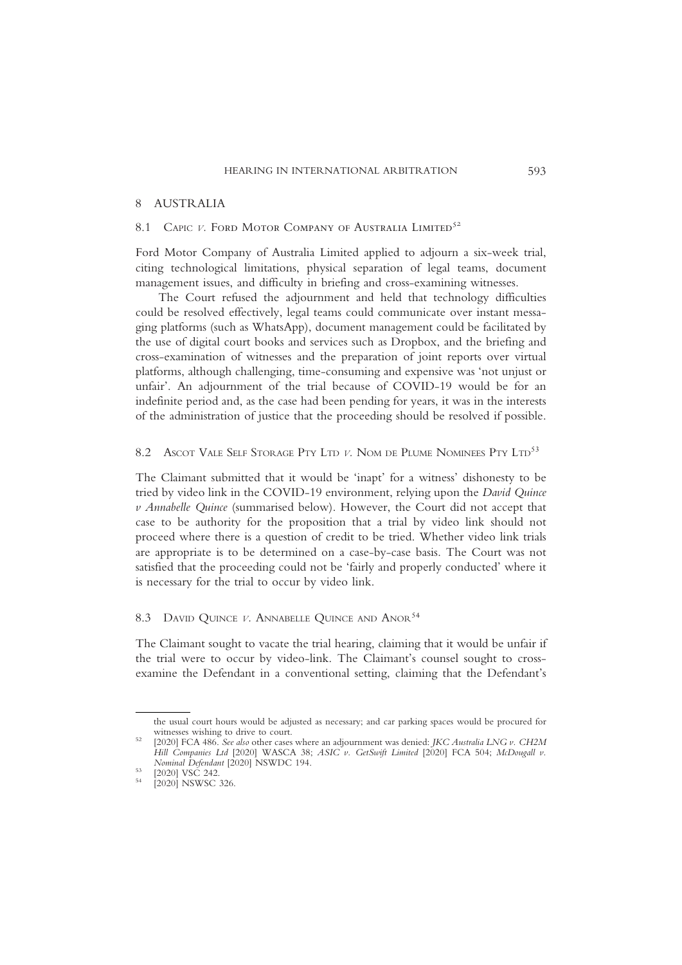# 8 AUSTRALIA

# 8.1 CAPIC V. FORD MOTOR COMPANY OF AUSTRALIA LIMITED<sup>52</sup>

Ford Motor Company of Australia Limited applied to adjourn a six-week trial, citing technological limitations, physical separation of legal teams, document management issues, and difficulty in briefing and cross-examining witnesses.

The Court refused the adjournment and held that technology difficulties could be resolved effectively, legal teams could communicate over instant messaging platforms (such as WhatsApp), document management could be facilitated by the use of digital court books and services such as Dropbox, and the briefing and cross-examination of witnesses and the preparation of joint reports over virtual platforms, although challenging, time-consuming and expensive was 'not unjust or unfair'. An adjournment of the trial because of COVID-19 would be for an indefinite period and, as the case had been pending for years, it was in the interests of the administration of justice that the proceeding should be resolved if possible.

## 8.2 ASCOT VALE SELF STORAGE PTY LTD V. NOM DE PLUME NOMINEES PTY LTD<sup>53</sup>

The Claimant submitted that it would be 'inapt' for a witness' dishonesty to be tried by video link in the COVID-19 environment, relying upon the David Quince v Annabelle Quince (summarised below). However, the Court did not accept that case to be authority for the proposition that a trial by video link should not proceed where there is a question of credit to be tried. Whether video link trials are appropriate is to be determined on a case-by-case basis. The Court was not satisfied that the proceeding could not be 'fairly and properly conducted' where it is necessary for the trial to occur by video link.

# 8.3 DAVID QUINCE V. ANNABELLE QUINCE AND ANOR<sup>54</sup>

The Claimant sought to vacate the trial hearing, claiming that it would be unfair if the trial were to occur by video-link. The Claimant's counsel sought to crossexamine the Defendant in a conventional setting, claiming that the Defendant's

the usual court hours would be adjusted as necessary; and car parking spaces would be procured for witnesses wishing to drive to court.

<sup>52 [2020]</sup> FCA 486. See also other cases where an adjournment was denied: JKC Australia LNG v. CH2M Hill Companies Ltd [2020] WASCA 38; ASIC v. GetSwift Limited [2020] FCA 504; McDougall v. Nominal Defendant [2020] NSWDC 194. <sup>53</sup> [2020] VSC 242. <sup>54</sup> [2020] NSWSC 326.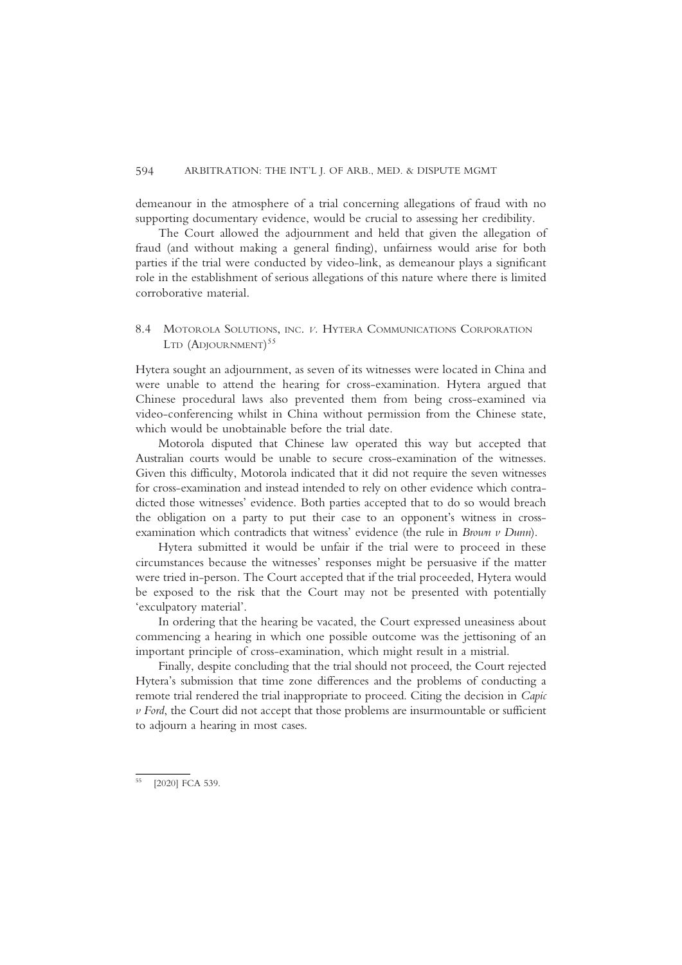demeanour in the atmosphere of a trial concerning allegations of fraud with no supporting documentary evidence, would be crucial to assessing her credibility.

The Court allowed the adjournment and held that given the allegation of fraud (and without making a general finding), unfairness would arise for both parties if the trial were conducted by video-link, as demeanour plays a significant role in the establishment of serious allegations of this nature where there is limited corroborative material.

# 8.4 MOTOROLA SOLUTIONS, INC. V. HYTERA COMMUNICATIONS CORPORATION LTD (ADIOURNMENT)<sup>55</sup>

Hytera sought an adjournment, as seven of its witnesses were located in China and were unable to attend the hearing for cross-examination. Hytera argued that Chinese procedural laws also prevented them from being cross-examined via video-conferencing whilst in China without permission from the Chinese state, which would be unobtainable before the trial date.

Motorola disputed that Chinese law operated this way but accepted that Australian courts would be unable to secure cross-examination of the witnesses. Given this difficulty, Motorola indicated that it did not require the seven witnesses for cross-examination and instead intended to rely on other evidence which contradicted those witnesses' evidence. Both parties accepted that to do so would breach the obligation on a party to put their case to an opponent's witness in crossexamination which contradicts that witness' evidence (the rule in Brown v Dunn).

Hytera submitted it would be unfair if the trial were to proceed in these circumstances because the witnesses' responses might be persuasive if the matter were tried in-person. The Court accepted that if the trial proceeded, Hytera would be exposed to the risk that the Court may not be presented with potentially 'exculpatory material'.

In ordering that the hearing be vacated, the Court expressed uneasiness about commencing a hearing in which one possible outcome was the jettisoning of an important principle of cross-examination, which might result in a mistrial.

Finally, despite concluding that the trial should not proceed, the Court rejected Hytera's submission that time zone differences and the problems of conducting a remote trial rendered the trial inappropriate to proceed. Citing the decision in Capic  $\nu$  Ford, the Court did not accept that those problems are insurmountable or sufficient to adjourn a hearing in most cases.

<sup>[2020]</sup> FCA 539.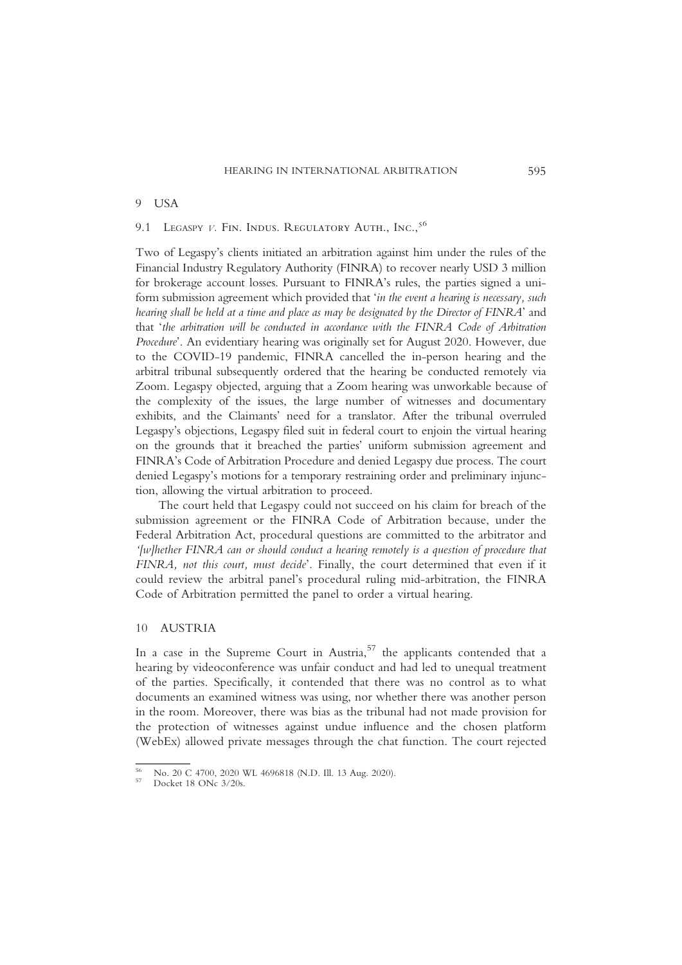#### 9 USA

# 9.1 LEGASPY V. FIN. INDUS. REGULATORY AUTH., INC..<sup>56</sup>

Two of Legaspy's clients initiated an arbitration against him under the rules of the Financial Industry Regulatory Authority (FINRA) to recover nearly USD 3 million for brokerage account losses. Pursuant to FINRA's rules, the parties signed a uniform submission agreement which provided that 'in the event a hearing is necessary, such hearing shall be held at a time and place as may be designated by the Director of FINRA' and that 'the arbitration will be conducted in accordance with the FINRA Code of Arbitration Procedure'. An evidentiary hearing was originally set for August 2020. However, due to the COVID-19 pandemic, FINRA cancelled the in-person hearing and the arbitral tribunal subsequently ordered that the hearing be conducted remotely via Zoom. Legaspy objected, arguing that a Zoom hearing was unworkable because of the complexity of the issues, the large number of witnesses and documentary exhibits, and the Claimants' need for a translator. After the tribunal overruled Legaspy's objections, Legaspy filed suit in federal court to enjoin the virtual hearing on the grounds that it breached the parties' uniform submission agreement and FINRA's Code of Arbitration Procedure and denied Legaspy due process. The court denied Legaspy's motions for a temporary restraining order and preliminary injunction, allowing the virtual arbitration to proceed.

The court held that Legaspy could not succeed on his claim for breach of the submission agreement or the FINRA Code of Arbitration because, under the Federal Arbitration Act, procedural questions are committed to the arbitrator and '[w]hether FINRA can or should conduct a hearing remotely is a question of procedure that FINRA, not this court, must decide'. Finally, the court determined that even if it could review the arbitral panel's procedural ruling mid-arbitration, the FINRA Code of Arbitration permitted the panel to order a virtual hearing.

#### 10 AUSTRIA

In a case in the Supreme Court in Austria, $57$  the applicants contended that a hearing by videoconference was unfair conduct and had led to unequal treatment of the parties. Specifically, it contended that there was no control as to what documents an examined witness was using, nor whether there was another person in the room. Moreover, there was bias as the tribunal had not made provision for the protection of witnesses against undue influence and the chosen platform (WebEx) allowed private messages through the chat function. The court rejected

<sup>56</sup> No. 20 C 4700, 2020 WL 4696818 (N.D. Ill. 13 Aug. 2020). <sup>57</sup> Docket 18 ONc 3/20s.